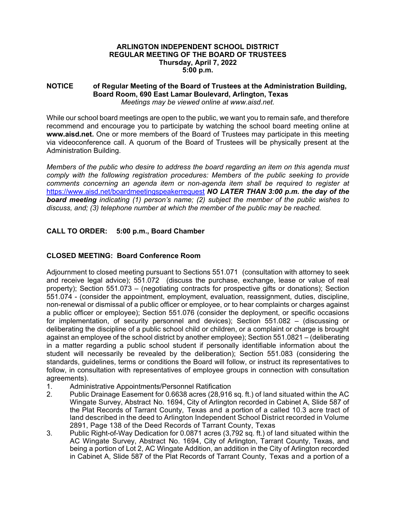#### **ARLINGTON INDEPENDENT SCHOOL DISTRICT REGULAR MEETING OF THE BOARD OF TRUSTEES Thursday, April 7, 2022 5:00 p.m.**

#### **NOTICE of Regular Meeting of the Board of Trustees at the Administration Building, Board Room, 690 East Lamar Boulevard, Arlington, Texas**  *Meetings may be viewed online at www.aisd.net.*

While our school board meetings are open to the public, we want you to remain safe, and therefore recommend and encourage you to participate by watching the school board meeting online at **www.aisd.net.** One or more members of the Board of Trustees may participate in this meeting via videoconference call. A quorum of the Board of Trustees will be physically present at the Administration Building.

*Members of the public who desire to address the board regarding an item on this agenda must comply with the following registration procedures: Members of the public seeking to provide comments concerning an agenda item or non-agenda item shall be required to register at*  https://www.aisd.net/boardmeetingspeakerrequest *NO LATER THAN 3:00 p.m. the day of the board meeting indicating (1) person's name; (2) subject the member of the public wishes to discuss, and; (3) telephone number at which the member of the public may be reached.* 

# **CALL TO ORDER: 5:00 p.m., Board Chamber**

# **CLOSED MEETING: Board Conference Room**

Adjournment to closed meeting pursuant to Sections 551.071 (consultation with attorney to seek and receive legal advice); 551.072 (discuss the purchase, exchange, lease or value of real property); Section 551.073 – (negotiating contracts for prospective gifts or donations); Section 551.074 - (consider the appointment, employment, evaluation, reassignment, duties, discipline, non-renewal or dismissal of a public officer or employee, or to hear complaints or charges against a public officer or employee); Section 551.076 (consider the deployment, or specific occasions for implementation, of security personnel and devices); Section 551.082 – (discussing or deliberating the discipline of a public school child or children, or a complaint or charge is brought against an employee of the school district by another employee); Section 551.0821 – (deliberating in a matter regarding a public school student if personally identifiable information about the student will necessarily be revealed by the deliberation); Section 551.083 (considering the standards, guidelines, terms or conditions the Board will follow, or instruct its representatives to follow, in consultation with representatives of employee groups in connection with consultation agreements).

- 1. Administrative Appointments/Personnel Ratification<br>2. Public Drainage Easement for 0.6638 acres (28.916
- 2. Public Drainage Easement for 0.6638 acres (28,916 sq. ft.) of land situated within the AC Wingate Survey, Abstract No. 1694, City of Arlington recorded in Cabinet A, Slide 587 of the Plat Records of Tarrant County, Texas and a portion of a called 10.3 acre tract of land described in the deed to Arlington Independent School District recorded in Volume 2891, Page 138 of the Deed Records of Tarrant County, Texas
- 3. Public Right-of-Way Dedication for 0.0871 acres (3,792 sq. ft.) of land situated within the AC Wingate Survey, Abstract No. 1694, City of Arlington, Tarrant County, Texas, and being a portion of Lot 2, AC Wingate Addition, an addition in the City of Arlington recorded in Cabinet A, Slide 587 of the Plat Records of Tarrant County, Texas and a portion of a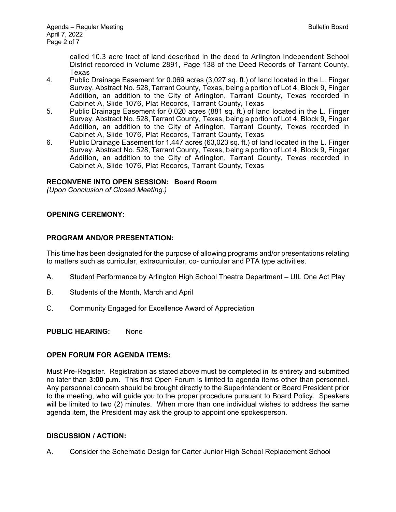called 10.3 acre tract of land described in the deed to Arlington Independent School District recorded in Volume 2891, Page 138 of the Deed Records of Tarrant County, Texas

- 4. Public Drainage Easement for 0.069 acres (3,027 sq. ft.) of land located in the L. Finger Survey, Abstract No. 528, Tarrant County, Texas, being a portion of Lot 4, Block 9, Finger Addition, an addition to the City of Arlington, Tarrant County, Texas recorded in Cabinet A, Slide 1076, Plat Records, Tarrant County, Texas
- 5. Public Drainage Easement for 0.020 acres (881 sq. ft.) of land located in the L. Finger Survey, Abstract No. 528, Tarrant County, Texas, being a portion of Lot 4, Block 9, Finger Addition, an addition to the City of Arlington, Tarrant County, Texas recorded in Cabinet A, Slide 1076, Plat Records, Tarrant County, Texas
- 6. Public Drainage Easement for 1.447 acres (63,023 sq. ft.) of land located in the L. Finger Survey, Abstract No. 528, Tarrant County, Texas, being a portion of Lot 4, Block 9, Finger Addition, an addition to the City of Arlington, Tarrant County, Texas recorded in Cabinet A, Slide 1076, Plat Records, Tarrant County, Texas

### **RECONVENE INTO OPEN SESSION: Board Room**

*(Upon Conclusion of Closed Meeting.)* 

### **OPENING CEREMONY:**

#### **PROGRAM AND/OR PRESENTATION:**

This time has been designated for the purpose of allowing programs and/or presentations relating to matters such as curricular, extracurricular, co- curricular and PTA type activities.

- A. Student Performance by Arlington High School Theatre Department UIL One Act Play
- B. Students of the Month, March and April
- C. Community Engaged for Excellence Award of Appreciation

#### **PUBLIC HEARING:** None

#### **OPEN FORUM FOR AGENDA ITEMS:**

Must Pre-Register. Registration as stated above must be completed in its entirety and submitted no later than **3:00 p.m.** This first Open Forum is limited to agenda items other than personnel. Any personnel concern should be brought directly to the Superintendent or Board President prior to the meeting, who will guide you to the proper procedure pursuant to Board Policy. Speakers will be limited to two (2) minutes. When more than one individual wishes to address the same agenda item, the President may ask the group to appoint one spokesperson.

#### **DISCUSSION / ACTION:**

A. Consider the Schematic Design for Carter Junior High School Replacement School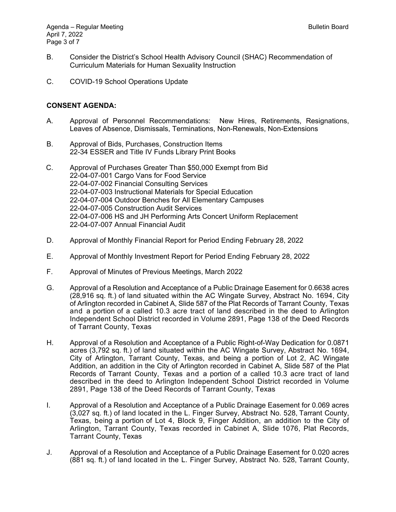- B. Consider the District's School Health Advisory Council (SHAC) Recommendation of Curriculum Materials for Human Sexuality Instruction
- C. COVID-19 School Operations Update

### **CONSENT AGENDA:**

- A. Approval of Personnel Recommendations: New Hires, Retirements, Resignations, Leaves of Absence, Dismissals, Terminations, Non-Renewals, Non-Extensions
- B. Approval of Bids, Purchases, Construction Items 22-34 ESSER and Title IV Funds Library Print Books
- C. Approval of Purchases Greater Than \$50,000 Exempt from Bid 22-04-07-001 Cargo Vans for Food Service 22-04-07-002 Financial Consulting Services 22-04-07-003 Instructional Materials for Special Education 22-04-07-004 Outdoor Benches for All Elementary Campuses 22-04-07-005 Construction Audit Services 22-04-07-006 HS and JH Performing Arts Concert Uniform Replacement 22-04-07-007 Annual Financial Audit
- D. Approval of Monthly Financial Report for Period Ending February 28, 2022
- E. Approval of Monthly Investment Report for Period Ending February 28, 2022
- F. Approval of Minutes of Previous Meetings, March 2022
- G. Approval of a Resolution and Acceptance of a Public Drainage Easement for 0.6638 acres (28,916 sq. ft.) of land situated within the AC Wingate Survey, Abstract No. 1694, City of Arlington recorded in Cabinet A, Slide 587 of the Plat Records of Tarrant County, Texas and a portion of a called 10.3 acre tract of land described in the deed to Arlington Independent School District recorded in Volume 2891, Page 138 of the Deed Records of Tarrant County, Texas
- H. Approval of a Resolution and Acceptance of a Public Right-of-Way Dedication for 0.0871 acres (3,792 sq. ft.) of land situated within the AC Wingate Survey, Abstract No. 1694, City of Arlington, Tarrant County, Texas, and being a portion of Lot 2, AC Wingate Addition, an addition in the City of Arlington recorded in Cabinet A, Slide 587 of the Plat Records of Tarrant County, Texas and a portion of a called 10.3 acre tract of land described in the deed to Arlington Independent School District recorded in Volume 2891, Page 138 of the Deed Records of Tarrant County, Texas
- I. Approval of a Resolution and Acceptance of a Public Drainage Easement for 0.069 acres (3,027 sq. ft.) of land located in the L. Finger Survey, Abstract No. 528, Tarrant County, Texas, being a portion of Lot 4, Block 9, Finger Addition, an addition to the City of Arlington, Tarrant County, Texas recorded in Cabinet A, Slide 1076, Plat Records, Tarrant County, Texas
- J. Approval of a Resolution and Acceptance of a Public Drainage Easement for 0.020 acres (881 sq. ft.) of land located in the L. Finger Survey, Abstract No. 528, Tarrant County,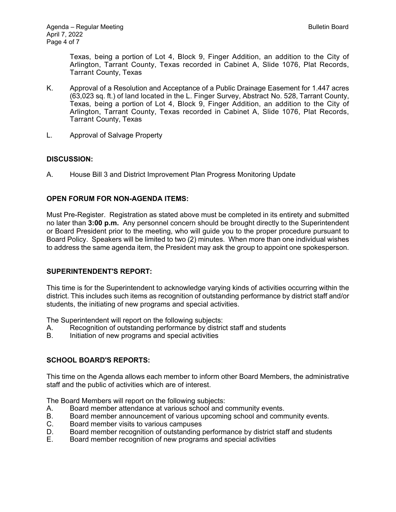Texas, being a portion of Lot 4, Block 9, Finger Addition, an addition to the City of Arlington, Tarrant County, Texas recorded in Cabinet A, Slide 1076, Plat Records, Tarrant County, Texas

- K. Approval of a Resolution and Acceptance of a Public Drainage Easement for 1.447 acres (63,023 sq. ft.) of land located in the L. Finger Survey, Abstract No. 528, Tarrant County, Texas, being a portion of Lot 4, Block 9, Finger Addition, an addition to the City of Arlington, Tarrant County, Texas recorded in Cabinet A, Slide 1076, Plat Records, Tarrant County, Texas
- L. Approval of Salvage Property

# **DISCUSSION:**

A. House Bill 3 and District Improvement Plan Progress Monitoring Update

# **OPEN FORUM FOR NON-AGENDA ITEMS:**

Must Pre-Register. Registration as stated above must be completed in its entirety and submitted no later than **3:00 p.m.** Any personnel concern should be brought directly to the Superintendent or Board President prior to the meeting, who will guide you to the proper procedure pursuant to Board Policy. Speakers will be limited to two (2) minutes. When more than one individual wishes to address the same agenda item, the President may ask the group to appoint one spokesperson.

# **SUPERINTENDENT'S REPORT:**

This time is for the Superintendent to acknowledge varying kinds of activities occurring within the district. This includes such items as recognition of outstanding performance by district staff and/or students, the initiating of new programs and special activities.

The Superintendent will report on the following subjects:

- A. Recognition of outstanding performance by district staff and students<br>B. Initiation of new programs and special activities
- Initiation of new programs and special activities

# **SCHOOL BOARD'S REPORTS:**

This time on the Agenda allows each member to inform other Board Members, the administrative staff and the public of activities which are of interest.

The Board Members will report on the following subjects:

- A. Board member attendance at various school and community events.
- B. Board member announcement of various upcoming school and community events.
- C. Board member visits to various campuses
- D. Board member recognition of outstanding performance by district staff and students
- E. Board member recognition of new programs and special activities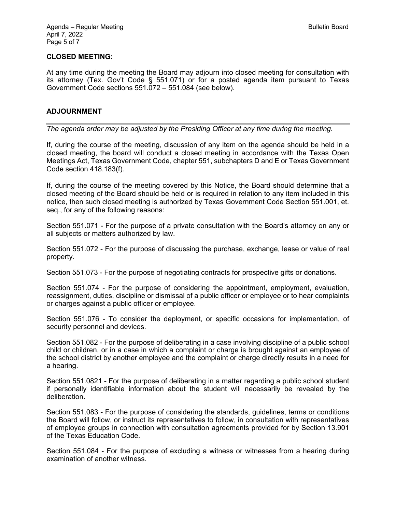### **CLOSED MEETING:**

At any time during the meeting the Board may adjourn into closed meeting for consultation with its attorney (Tex. Gov't Code § 551.071) or for a posted agenda item pursuant to Texas Government Code sections 551.072 – 551.084 (see below).

### **ADJOURNMENT**

*The agenda order may be adjusted by the Presiding Officer at any time during the meeting.* 

If, during the course of the meeting, discussion of any item on the agenda should be held in a closed meeting, the board will conduct a closed meeting in accordance with the Texas Open Meetings Act, Texas Government Code, chapter 551, subchapters D and E or Texas Government Code section 418.183(f).

If, during the course of the meeting covered by this Notice, the Board should determine that a closed meeting of the Board should be held or is required in relation to any item included in this notice, then such closed meeting is authorized by Texas Government Code Section 551.001, et. seq., for any of the following reasons:

Section 551.071 - For the purpose of a private consultation with the Board's attorney on any or all subjects or matters authorized by law.

Section 551.072 - For the purpose of discussing the purchase, exchange, lease or value of real property.

Section 551.073 - For the purpose of negotiating contracts for prospective gifts or donations.

Section 551.074 - For the purpose of considering the appointment, employment, evaluation, reassignment, duties, discipline or dismissal of a public officer or employee or to hear complaints or charges against a public officer or employee.

Section 551.076 - To consider the deployment, or specific occasions for implementation, of security personnel and devices.

Section 551.082 - For the purpose of deliberating in a case involving discipline of a public school child or children, or in a case in which a complaint or charge is brought against an employee of the school district by another employee and the complaint or charge directly results in a need for a hearing.

Section 551.0821 - For the purpose of deliberating in a matter regarding a public school student if personally identifiable information about the student will necessarily be revealed by the deliberation.

Section 551.083 - For the purpose of considering the standards, guidelines, terms or conditions the Board will follow, or instruct its representatives to follow, in consultation with representatives of employee groups in connection with consultation agreements provided for by Section 13.901 of the Texas Education Code.

Section 551.084 - For the purpose of excluding a witness or witnesses from a hearing during examination of another witness.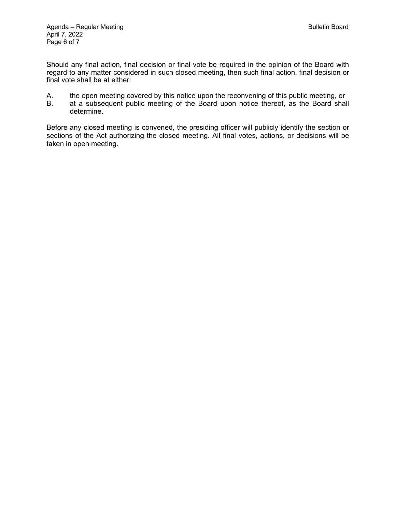Should any final action, final decision or final vote be required in the opinion of the Board with regard to any matter considered in such closed meeting, then such final action, final decision or final vote shall be at either:

- A. the open meeting covered by this notice upon the reconvening of this public meeting, or<br>B. at a subsequent public meeting of the Board upon notice thereof, as the Board shall
- at a subsequent public meeting of the Board upon notice thereof, as the Board shall determine.

Before any closed meeting is convened, the presiding officer will publicly identify the section or sections of the Act authorizing the closed meeting. All final votes, actions, or decisions will be taken in open meeting.